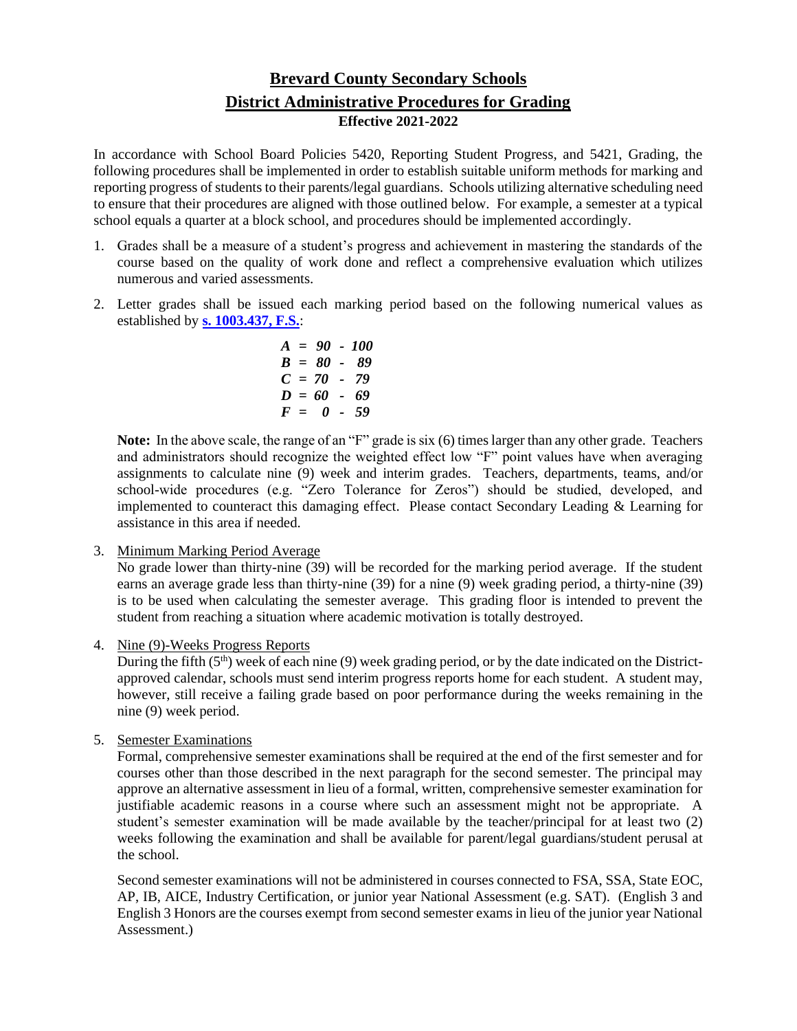## **Brevard County Secondary Schools District Administrative Procedures for Grading Effective 2021-2022**

In accordance with School Board Policies 5420, Reporting Student Progress, and 5421, Grading, the following procedures shall be implemented in order to establish suitable uniform methods for marking and reporting progress of students to their parents/legal guardians. Schools utilizing alternative scheduling need to ensure that their procedures are aligned with those outlined below. For example, a semester at a typical school equals a quarter at a block school, and procedures should be implemented accordingly.

- 1. Grades shall be a measure of a student's progress and achievement in mastering the standards of the course based on the quality of work done and reflect a comprehensive evaluation which utilizes numerous and varied assessments.
- 2. Letter grades shall be issued each marking period based on the following numerical values as established by **[s. 1003.437, F.S.](http://leg.state.fl.us/statutes/index.cfm?mode=View%20Statutes&SubMenu=1&App_mode=Display_Statute&Search_String=1003.437&URL=1000-1099/1003/Sections/1003.437.html)**:

$$
A = 90 - 100
$$
  
\n
$$
B = 80 - 89
$$
  
\n
$$
C = 70 - 79
$$
  
\n
$$
D = 60 - 69
$$
  
\n
$$
F = 0 - 59
$$

**Note:** In the above scale, the range of an "F" grade is six (6) times larger than any other grade. Teachers and administrators should recognize the weighted effect low "F" point values have when averaging assignments to calculate nine (9) week and interim grades. Teachers, departments, teams, and/or school-wide procedures (e.g. "Zero Tolerance for Zeros") should be studied, developed, and implemented to counteract this damaging effect. Please contact Secondary Leading & Learning for assistance in this area if needed.

3. Minimum Marking Period Average

No grade lower than thirty-nine (39) will be recorded for the marking period average. If the student earns an average grade less than thirty-nine (39) for a nine (9) week grading period, a thirty-nine (39) is to be used when calculating the semester average. This grading floor is intended to prevent the student from reaching a situation where academic motivation is totally destroyed.

4. Nine (9)-Weeks Progress Reports

During the fifth  $(5<sup>th</sup>)$  week of each nine (9) week grading period, or by the date indicated on the Districtapproved calendar, schools must send interim progress reports home for each student. A student may, however, still receive a failing grade based on poor performance during the weeks remaining in the nine (9) week period.

5. Semester Examinations

Formal, comprehensive semester examinations shall be required at the end of the first semester and for courses other than those described in the next paragraph for the second semester. The principal may approve an alternative assessment in lieu of a formal, written, comprehensive semester examination for justifiable academic reasons in a course where such an assessment might not be appropriate. A student's semester examination will be made available by the teacher/principal for at least two (2) weeks following the examination and shall be available for parent/legal guardians/student perusal at the school.

Second semester examinations will not be administered in courses connected to FSA, SSA, State EOC, AP, IB, AICE, Industry Certification, or junior year National Assessment (e.g. SAT). (English 3 and English 3 Honors are the courses exempt from second semester exams in lieu of the junior year National Assessment.)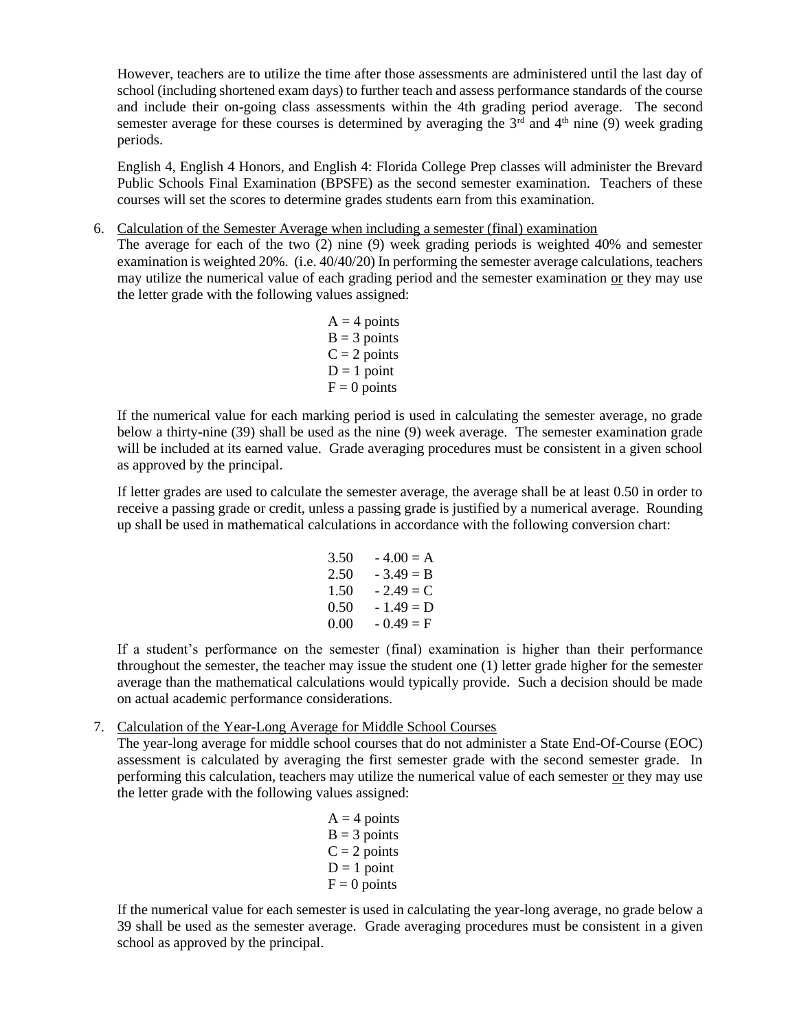However, teachers are to utilize the time after those assessments are administered until the last day of school (including shortened exam days) to further teach and assess performance standards of the course and include their on-going class assessments within the 4th grading period average. The second semester average for these courses is determined by averaging the  $3<sup>rd</sup>$  and  $4<sup>th</sup>$  nine (9) week grading periods.

English 4, English 4 Honors, and English 4: Florida College Prep classes will administer the Brevard Public Schools Final Examination (BPSFE) as the second semester examination. Teachers of these courses will set the scores to determine grades students earn from this examination.

6. Calculation of the Semester Average when including a semester (final) examination

The average for each of the two (2) nine (9) week grading periods is weighted 40% and semester examination is weighted 20%. (i.e. 40/40/20) In performing the semester average calculations, teachers may utilize the numerical value of each grading period and the semester examination or they may use the letter grade with the following values assigned:

> $A = 4$  points  $B = 3$  points  $C = 2$  points  $D = 1$  point  $F = 0$  points

If the numerical value for each marking period is used in calculating the semester average, no grade below a thirty-nine (39) shall be used as the nine (9) week average. The semester examination grade will be included at its earned value. Grade averaging procedures must be consistent in a given school as approved by the principal.

If letter grades are used to calculate the semester average, the average shall be at least 0.50 in order to receive a passing grade or credit, unless a passing grade is justified by a numerical average. Rounding up shall be used in mathematical calculations in accordance with the following conversion chart:

> $3.50 - 4.00 = A$  $2.50 - 3.49 = B$  $1.50 - 2.49 = C$  $0.50 - 1.49 = D$  $0.00 - 0.49 = F$

If a student's performance on the semester (final) examination is higher than their performance throughout the semester, the teacher may issue the student one (1) letter grade higher for the semester average than the mathematical calculations would typically provide. Such a decision should be made on actual academic performance considerations.

7. Calculation of the Year-Long Average for Middle School Courses

The year-long average for middle school courses that do not administer a State End-Of-Course (EOC) assessment is calculated by averaging the first semester grade with the second semester grade. In performing this calculation, teachers may utilize the numerical value of each semester or they may use the letter grade with the following values assigned:

> $A = 4$  points  $B = 3$  points  $C = 2$  points  $D = 1$  point  $F = 0$  points

If the numerical value for each semester is used in calculating the year-long average, no grade below a 39 shall be used as the semester average. Grade averaging procedures must be consistent in a given school as approved by the principal.